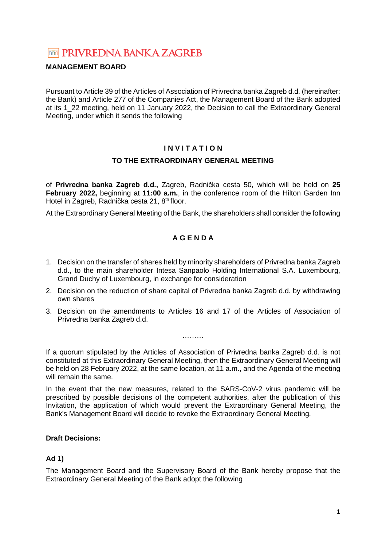# **TOTA PRIVREDNA BANKA ZAGREB**

# **MANAGEMENT BOARD**

Pursuant to Article 39 of the Articles of Association of Privredna banka Zagreb d.d. (hereinafter: the Bank) and Article 277 of the Companies Act, the Management Board of the Bank adopted at its 1\_22 meeting, held on 11 January 2022, the Decision to call the Extraordinary General Meeting, under which it sends the following

# **I N V I T A T I O N**

# **TO THE EXTRAORDINARY GENERAL MEETING**

of **Privredna banka Zagreb d.d.,** Zagreb, Radnička cesta 50, which will be held on **25 February 2022,** beginning at **11:00 a.m.**, in the conference room of the Hilton Garden Inn Hotel in Zagreb, Radnička cesta 21, 8<sup>th</sup> floor.

At the Extraordinary General Meeting of the Bank, the shareholders shall consider the following

# **A G E N D A**

- 1. Decision on the transfer of shares held by minority shareholders of Privredna banka Zagreb d.d., to the main shareholder Intesa Sanpaolo Holding International S.A. Luxembourg, Grand Duchy of Luxembourg, in exchange for consideration
- 2. Decision on the reduction of share capital of Privredna banka Zagreb d.d. by withdrawing own shares
- 3. Decision on the amendments to Articles 16 and 17 of the Articles of Association of Privredna banka Zagreb d.d.

………

If a quorum stipulated by the Articles of Association of Privredna banka Zagreb d.d. is not constituted at this Extraordinary General Meeting, then the Extraordinary General Meeting will be held on 28 February 2022, at the same location, at 11 a.m., and the Agenda of the meeting will remain the same.

In the event that the new measures, related to the SARS-CoV-2 virus pandemic will be prescribed by possible decisions of the competent authorities, after the publication of this Invitation, the application of which would prevent the Extraordinary General Meeting, the Bank's Management Board will decide to revoke the Extraordinary General Meeting.

# **Draft Decisions:**

# **Ad 1)**

The Management Board and the Supervisory Board of the Bank hereby propose that the Extraordinary General Meeting of the Bank adopt the following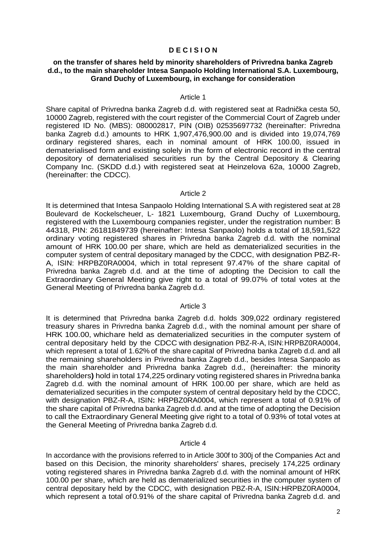#### **D E C I S I O N**

#### **on the transfer of shares held by minority shareholders of Privredna banka Zagreb d.d., to the main shareholder Intesa Sanpaolo Holding International S.A. Luxembourg, Grand Duchy of Luxembourg, in exchange for consideration**

#### Article 1

Share capital of Privredna banka Zagreb d.d. with registered seat at Radnička cesta 50, 10000 Zagreb, registered with the court register of the Commercial Court of Zagreb under registered ID No. (MBS): 080002817, PIN (OIB) 02535697732 (hereinafter: Privredna banka Zagreb d.d.) amounts to HRK 1,907,476,900.00 and is divided into 19,074,769 ordinary registered shares, each in nominal amount of HRK 100.00, issued in dematerialised form and existing solely in the form of electronic record in the central depository of dematerialised securities run by the Central Depository & Clearing Company Inc. (SKDD d.d.) with registered seat at Heinzelova 62a, 10000 Zagreb, (hereinafter: the CDCC).

#### Article 2

It is determined that Intesa Sanpaolo Holding International S.A with registered seat at 28 Boulevard de Kockelscheuer, L- 1821 Luxembourg, Grand Duchy of Luxembourg, registered with the Luxembourg companies register, under the registration number: B 44318, PIN: 26181849739 (hereinafter: Intesa Sanpaolo) holds a total of 18,591,522 ordinary voting registered shares in Privredna banka Zagreb d.d. with the nominal amount of HRK 100.00 per share, which are held as dematerialized securities in the computer system of central depositary managed by the CDCC, with designation PBZ-R-A, ISIN: HRPBZ0RA0004, which in total represent 97.47% of the share capital of Privredna banka Zagreb d.d. and at the time of adopting the Decision to call the Extraordinary General Meeting give right to a total of 99.07% of total votes at the General Meeting of Privredna banka Zagreb d.d.

#### Article 3

It is determined that Privredna banka Zagreb d.d. holds 309,022 ordinary registered treasury shares in Privredna banka Zagreb d.d., with the nominal amount per share of HRK 100.00, which are held as dematerialized securities in the computer system of central depositary held by the CDCC with designation PBZ-R-A, ISIN:HRPBZ0RA0004, which represent a total of 1.62% of the share capital of Privredna banka Zagreb d.d. and all the remaining shareholders in Privredna banka Zagreb d.d., besides Intesa Sanpaolo as the main shareholder and Privredna banka Zagreb d.d., (hereinafter: the minority shareholders**)** hold in total 174,225 ordinary voting registered shares in Privredna banka Zagreb d.d. with the nominal amount of HRK 100.00 per share, which are held as dematerialized securities in the computer system of central depositary held by the CDCC, with designation PBZ-R-A, ISIN**:** HRPBZ0RA0004, which represent a total of 0.91% of the share capital of Privredna banka Zagreb d.d. and at the time of adopting the Decision to call the Extraordinary General Meeting give right to a total of 0.93% of total votes at the General Meeting of Privredna banka Zagreb d.d.

#### Article 4

In accordance with the provisions referred to in Article 300f to 300j of the Companies Act and based on this Decision, the minority shareholders' shares, precisely 174,225 ordinary voting registered shares in Privredna banka Zagreb d.d. with the nominal amount of HRK 100.00 per share, which are held as dematerialized securities in the computer system of central depositary held by the CDCC, with designation PBZ-R-A, ISIN: HRPBZ0RA0004, which represent a total of 0.91% of the share capital of Privredna banka Zagreb d.d. and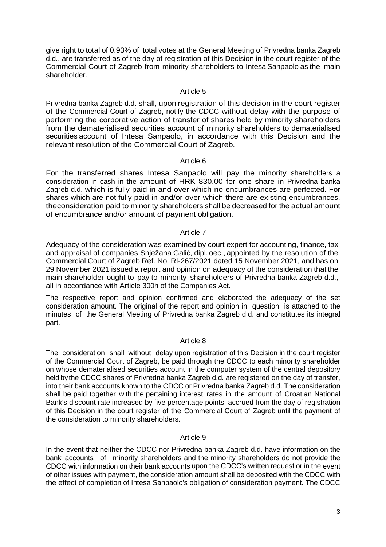give right to total of 0.93% of total votes at the General Meeting of Privredna banka Zagreb d.d., are transferred as of the day of registration of this Decision in the court register of the Commercial Court of Zagreb from minority shareholders to Intesa Sanpaolo as the main shareholder.

# Article 5

Privredna banka Zagreb d.d. shall, upon registration of this decision in the court register of the Commercial Court of Zagreb, notify the CDCC without delay with the purpose of performing the corporative action of transfer of shares held by minority shareholders from the dematerialised securities account of minority shareholders to dematerialised securities account of Intesa Sanpaolo, in accordance with this Decision and the relevant resolution of the Commercial Court of Zagreb.

#### Article 6

For the transferred shares Intesa Sanpaolo will pay the minority shareholders a consideration in cash in the amount of HRK 830.00 for one share in Privredna banka Zagreb d.d. which is fully paid in and over which no encumbrances are perfected. For shares which are not fully paid in and/or over which there are existing encumbrances, the consideration paid to minority shareholders shall be decreased for the actual amount of encumbrance and/or amount of payment obligation.

#### Article 7

Adequacy of the consideration was examined by court expert for accounting, finance, tax and appraisal of companies Snježana Galić, dipl. oec., appointed by the resolution of the Commercial Court of Zagreb Ref. No. Rl-267/2021 dated 15 November 2021, and has on 29 November 2021 issued a report and opinion on adequacy of the consideration that the main shareholder ought to pay to minority shareholders of Privredna banka Zagreb d.d., all in accordance with Article 300h of the Companies Act.

The respective report and opinion confirmed and elaborated the adequacy of the set consideration amount. The original of the report and opinion in question is attached to the minutes of the General Meeting of Privredna banka Zagreb d.d. and constitutes its integral part.

# Article 8

The consideration shall without delay upon registration of this Decision in the court register of the Commercial Court of Zagreb, be paid through the CDCC to each minority shareholder on whose dematerialised securities account in the computer system of the central depository held by the CDCC shares of Privredna banka Zagreb d.d. are registered on the day of transfer, into their bank accounts known to the CDCC or Privredna banka Zagreb d.d. The consideration shall be paid together with the pertaining interest rates in the amount of Croatian National Bank's discount rate increased by five percentage points, accrued from the day of registration of this Decision in the court register of the Commercial Court of Zagreb until the payment of the consideration to minority shareholders.

# Article 9

In the event that neither the CDCC nor Privredna banka Zagreb d.d. have information on the bank accounts of minority shareholders and the minority shareholders do not provide the CDCC with information on their bank accounts upon the CDCC's written request or in the event of other issues with payment, the consideration amount shall be deposited with the CDCC with the effect of completion of Intesa Sanpaolo's obligation of consideration payment. The CDCC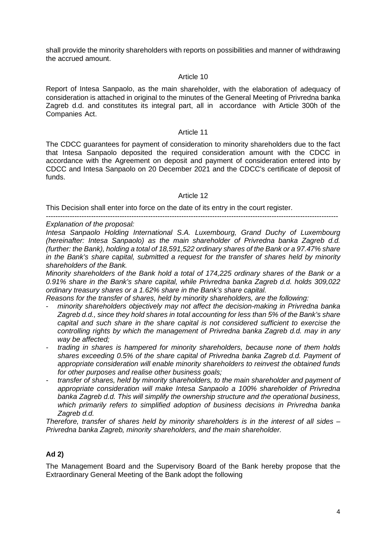shall provide the minority shareholders with reports on possibilities and manner of withdrawing the accrued amount.

#### Article 10

Report of Intesa Sanpaolo, as the main shareholder, with the elaboration of adequacy of consideration is attached in original to the minutes of the General Meeting of Privredna banka Zagreb d.d. and constitutes its integral part, all in accordance with Article 300h of the Companies Act.

#### Article 11

The CDCC guarantees for payment of consideration to minority shareholders due to the fact that Intesa Sanpaolo deposited the required consideration amount with the CDCC in accordance with the Agreement on deposit and payment of consideration entered into by CDCC and Intesa Sanpaolo on 20 December 2021 and the CDCC's certificate of deposit of funds.

#### Article 12

---------------------------------------------------------------------------------------------------------------------------

This Decision shall enter into force on the date of its entry in the court register.

#### Explanation of the proposal:

Intesa Sanpaolo Holding International S.A. Luxembourg, Grand Duchy of Luxembourg (hereinafter: Intesa Sanpaolo) as the main shareholder of Privredna banka Zagreb d.d. (further: the Bank), holding a total of 18,591,522 ordinary shares of the Bank or a 97.47% share in the Bank's share capital, submitted a request for the transfer of shares held by minority shareholders of the Bank.

Minority shareholders of the Bank hold a total of 174,225 ordinary shares of the Bank or a 0.91% share in the Bank's share capital, while Privredna banka Zagreb d.d. holds 309,022 ordinary treasury shares or a 1.62% share in the Bank's share capital.

Reasons for the transfer of shares, held by minority shareholders, are the following:

- minority shareholders objectively may not affect the decision-making in Privredna banka Zagreb d.d., since they hold shares in total accounting for less than 5% of the Bank's share capital and such share in the share capital is not considered sufficient to exercise the controlling rights by which the management of Privredna banka Zagreb d.d. may in any way be affected;
- trading in shares is hampered for minority shareholders, because none of them holds shares exceeding 0.5% of the share capital of Privredna banka Zagreb d.d. Payment of appropriate consideration will enable minority shareholders to reinvest the obtained funds for other purposes and realise other business goals;
- transfer of shares, held by minority shareholders, to the main shareholder and payment of appropriate consideration will make Intesa Sanpaolo a 100% shareholder of Privredna banka Zagreb d.d. This will simplify the ownership structure and the operational business, which primarily refers to simplified adoption of business decisions in Privredna banka Zagreb d.d.

Therefore, transfer of shares held by minority shareholders is in the interest of all sides  $-$ Privredna banka Zagreb, minority shareholders, and the main shareholder.

# **Ad 2)**

The Management Board and the Supervisory Board of the Bank hereby propose that the Extraordinary General Meeting of the Bank adopt the following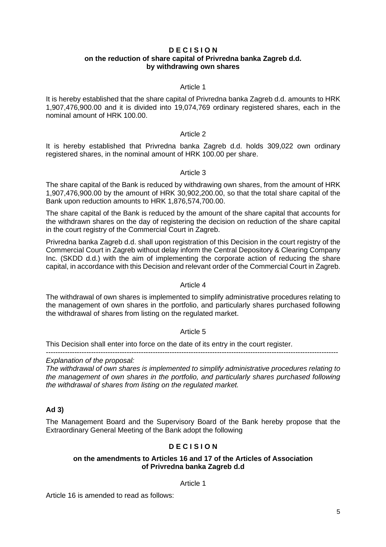#### **D E C I S I O N on the reduction of share capital of Privredna banka Zagreb d.d. by withdrawing own shares**

#### Article 1

It is hereby established that the share capital of Privredna banka Zagreb d.d. amounts to HRK 1,907,476,900.00 and it is divided into 19,074,769 ordinary registered shares, each in the nominal amount of HRK 100.00.

# Article 2

It is hereby established that Privredna banka Zagreb d.d. holds 309,022 own ordinary registered shares, in the nominal amount of HRK 100.00 per share.

#### Article 3

The share capital of the Bank is reduced by withdrawing own shares, from the amount of HRK 1,907,476,900.00 by the amount of HRK 30,902,200.00, so that the total share capital of the Bank upon reduction amounts to HRK 1,876,574,700.00.

The share capital of the Bank is reduced by the amount of the share capital that accounts for the withdrawn shares on the day of registering the decision on reduction of the share capital in the court registry of the Commercial Court in Zagreb.

Privredna banka Zagreb d.d. shall upon registration of this Decision in the court registry of the Commercial Court in Zagreb without delay inform the Central Depository & Clearing Company Inc. (SKDD d.d.) with the aim of implementing the corporate action of reducing the share capital, in accordance with this Decision and relevant order of the Commercial Court in Zagreb.

#### Article 4

The withdrawal of own shares is implemented to simplify administrative procedures relating to the management of own shares in the portfolio, and particularly shares purchased following the withdrawal of shares from listing on the regulated market.

#### Article 5

---------------------------------------------------------------------------------------------------------------------------

This Decision shall enter into force on the date of its entry in the court register.

# Explanation of the proposal:

The withdrawal of own shares is implemented to simplify administrative procedures relating to the management of own shares in the portfolio, and particularly shares purchased following the withdrawal of shares from listing on the regulated market.

# **Ad 3)**

The Management Board and the Supervisory Board of the Bank hereby propose that the Extraordinary General Meeting of the Bank adopt the following

# **D E C I S I O N**

#### **on the amendments to Articles 16 and 17 of the Articles of Association of Privredna banka Zagreb d.d**

#### Article 1

Article 16 is amended to read as follows: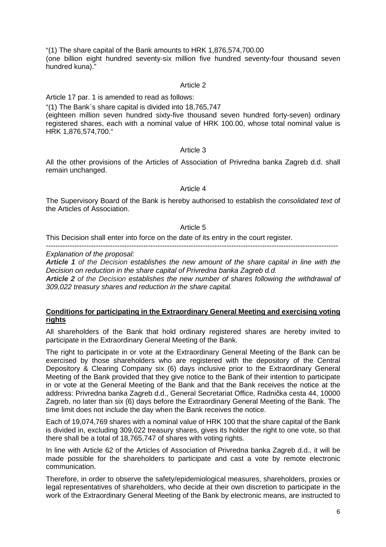"(1) The share capital of the Bank amounts to HRK 1,876,574,700.00 (one billion eight hundred seventy-six million five hundred seventy-four thousand seven hundred kuna)."

#### Article 2

Article 17 par. 1 is amended to read as follows:

"(1) The Bank`s share capital is divided into 18,765,747

(eighteen million seven hundred sixty-five thousand seven hundred forty-seven) ordinary registered shares, each with a nominal value of HRK 100.00, whose total nominal value is HRK 1,876,574,700."

#### Article 3

All the other provisions of the Articles of Association of Privredna banka Zagreb d.d. shall remain unchanged.

#### Article 4

The Supervisory Board of the Bank is hereby authorised to establish the consolidated text of the Articles of Association.

#### Article 5

This Decision shall enter into force on the date of its entry in the court register.

---------------------------------------------------------------------------------------------------------------------------

Explanation of the proposal:

**Article 1** of the Decision establishes the new amount of the share capital in line with the Decision on reduction in the share capital of Privredna banka Zagreb d.d.

**Article 2** of the Decision establishes the new number of shares following the withdrawal of 309,022 treasury shares and reduction in the share capital.

#### **Conditions for participating in the Extraordinary General Meeting and exercising voting rights**

All shareholders of the Bank that hold ordinary registered shares are hereby invited to participate in the Extraordinary General Meeting of the Bank.

The right to participate in or vote at the Extraordinary General Meeting of the Bank can be exercised by those shareholders who are registered with the depository of the Central Depository & Clearing Company six (6) days inclusive prior to the Extraordinary General Meeting of the Bank provided that they give notice to the Bank of their intention to participate in or vote at the General Meeting of the Bank and that the Bank receives the notice at the address: Privredna banka Zagreb d.d., General Secretariat Office, Radnička cesta 44, 10000 Zagreb, no later than six (6) days before the Extraordinary General Meeting of the Bank. The time limit does not include the day when the Bank receives the notice.

Each of 19,074,769 shares with a nominal value of HRK 100 that the share capital of the Bank is divided in, excluding 309,022 treasury shares, gives its holder the right to one vote, so that there shall be a total of 18,765,747 of shares with voting rights.

In line with Article 62 of the Articles of Association of Privredna banka Zagreb d.d., it will be made possible for the shareholders to participate and cast a vote by remote electronic communication.

Therefore, in order to observe the safety/epidemiological measures, shareholders, proxies or legal representatives of shareholders, who decide at their own discretion to participate in the work of the Extraordinary General Meeting of the Bank by electronic means, are instructed to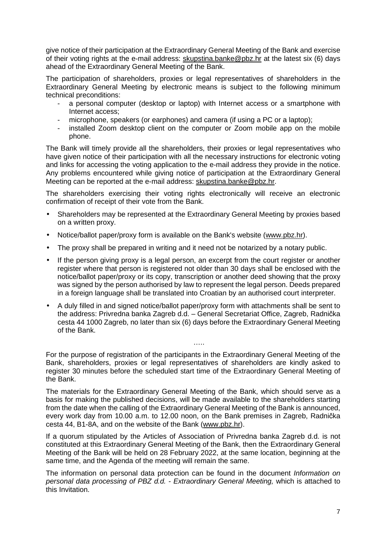give notice of their participation at the Extraordinary General Meeting of the Bank and exercise of their voting rights at the e-mail address: skupstina.banke@pbz.hr at the latest six (6) days ahead of the Extraordinary General Meeting of the Bank.

The participation of shareholders, proxies or legal representatives of shareholders in the Extraordinary General Meeting by electronic means is subject to the following minimum technical preconditions:

- a personal computer (desktop or laptop) with Internet access or a smartphone with Internet access;
- microphone, speakers (or earphones) and camera (if using a PC or a laptop);
- installed Zoom desktop client on the computer or Zoom mobile app on the mobile phone.

The Bank will timely provide all the shareholders, their proxies or legal representatives who have given notice of their participation with all the necessary instructions for electronic voting and links for accessing the voting application to the e-mail address they provide in the notice. Any problems encountered while giving notice of participation at the Extraordinary General Meeting can be reported at the e-mail address: skupstina.banke@pbz.hr.

The shareholders exercising their voting rights electronically will receive an electronic confirmation of receipt of their vote from the Bank.

- Shareholders may be represented at the Extraordinary General Meeting by proxies based on a written proxy.
- Notice/ballot paper/proxy form is available on the Bank's website (www.pbz.hr).
- The proxy shall be prepared in writing and it need not be notarized by a notary public.
- If the person giving proxy is a legal person, an excerpt from the court register or another register where that person is registered not older than 30 days shall be enclosed with the notice/ballot paper/proxy or its copy, transcription or another deed showing that the proxy was signed by the person authorised by law to represent the legal person. Deeds prepared in a foreign language shall be translated into Croatian by an authorised court interpreter.
- A duly filled in and signed notice/ballot paper/proxy form with attachments shall be sent to the address: Privredna banka Zagreb d.d. – General Secretariat Office, Zagreb, Radnička cesta 44 1000 Zagreb, no later than six (6) days before the Extraordinary General Meeting of the Bank.

For the purpose of registration of the participants in the Extraordinary General Meeting of the Bank, shareholders, proxies or legal representatives of shareholders are kindly asked to register 30 minutes before the scheduled start time of the Extraordinary General Meeting of the Bank.

….

The materials for the Extraordinary General Meeting of the Bank, which should serve as a basis for making the published decisions, will be made available to the shareholders starting from the date when the calling of the Extraordinary General Meeting of the Bank is announced, every work day from 10.00 a.m. to 12.00 noon, on the Bank premises in Zagreb, Radnička cesta 44, B1-8A, and on the website of the Bank (www.pbz.hr).

If a quorum stipulated by the Articles of Association of Privredna banka Zagreb d.d. is not constituted at this Extraordinary General Meeting of the Bank, then the Extraordinary General Meeting of the Bank will be held on 28 February 2022, at the same location, beginning at the same time, and the Agenda of the meeting will remain the same.

The information on personal data protection can be found in the document *Information on* personal data processing of PBZ d.d. - Extraordinary General Meeting, which is attached to this Invitation.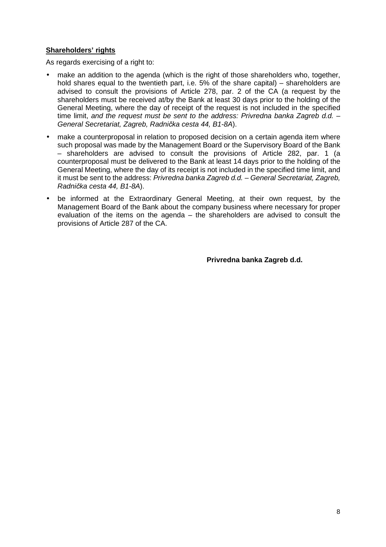# **Shareholders' rights**

As regards exercising of a right to:

- make an addition to the agenda (which is the right of those shareholders who, together, hold shares equal to the twentieth part, i.e. 5% of the share capital) – shareholders are advised to consult the provisions of Article 278, par. 2 of the CA (a request by the shareholders must be received at/by the Bank at least 30 days prior to the holding of the General Meeting, where the day of receipt of the request is not included in the specified time limit, and the request must be sent to the address: Privredna banka Zagreb d.d. -General Secretariat, Zagreb, Radni*č*ka cesta 44, B1-8A).
- make a counterproposal in relation to proposed decision on a certain agenda item where such proposal was made by the Management Board or the Supervisory Board of the Bank – shareholders are advised to consult the provisions of Article 282, par. 1 (a counterproposal must be delivered to the Bank at least 14 days prior to the holding of the General Meeting, where the day of its receipt is not included in the specified time limit, and it must be sent to the address: Privredna banka Zagreb d.d. – General Secretariat, Zagreb, Radni*č*ka cesta 44, B1-8A).
- be informed at the Extraordinary General Meeting, at their own request, by the Management Board of the Bank about the company business where necessary for proper evaluation of the items on the agenda – the shareholders are advised to consult the provisions of Article 287 of the CA.

**Privredna banka Zagreb d.d.**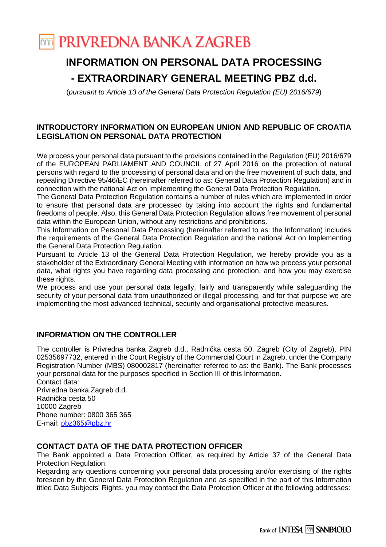# **TOTT PRIVREDNA BANKA ZAGREB**

# **INFORMATION ON PERSONAL DATA PROCESSING - EXTRAORDINARY GENERAL MEETING PBZ d.d.**

(pursuant to Article 13 of the General Data Protection Regulation (EU) 2016/679)

# **INTRODUCTORY INFORMATION ON EUROPEAN UNION AND REPUBLIC OF CROATIA LEGISLATION ON PERSONAL DATA PROTECTION**

We process your personal data pursuant to the provisions contained in the Regulation (EU) 2016/679 of the EUROPEAN PARLIAMENT AND COUNCIL of 27 April 2016 on the protection of natural persons with regard to the processing of personal data and on the free movement of such data, and repealing Directive 95/46/EC (hereinafter referred to as: General Data Protection Regulation) and in connection with the national Act on Implementing the General Data Protection Regulation.

The General Data Protection Regulation contains a number of rules which are implemented in order to ensure that personal data are processed by taking into account the rights and fundamental freedoms of people. Also, this General Data Protection Regulation allows free movement of personal data within the European Union, without any restrictions and prohibitions.

This Information on Personal Data Processing (hereinafter referred to as: the Information) includes the requirements of the General Data Protection Regulation and the national Act on Implementing the General Data Protection Regulation.

Pursuant to Article 13 of the General Data Protection Regulation, we hereby provide you as a stakeholder of the Extraordinary General Meeting with information on how we process your personal data, what rights you have regarding data processing and protection, and how you may exercise these rights.

We process and use your personal data legally, fairly and transparently while safeguarding the security of your personal data from unauthorized or illegal processing, and for that purpose we are implementing the most advanced technical, security and organisational protective measures.

# **INFORMATION ON THE CONTROLLER**

The controller is Privredna banka Zagreb d.d., Radnička cesta 50, Zagreb (City of Zagreb), PIN 02535697732, entered in the Court Registry of the Commercial Court in Zagreb, under the Company Registration Number (MBS) 080002817 (hereinafter referred to as: the Bank). The Bank processes your personal data for the purposes specified in Section III of this Information. Contact data:

Privredna banka Zagreb d.d. Radnička cesta 50 10000 Zagreb Phone number: 0800 365 365 E-mail: pbz365@pbz.hr

# **CONTACT DATA OF THE DATA PROTECTION OFFICER**

The Bank appointed a Data Protection Officer, as required by Article 37 of the General Data Protection Regulation.

Regarding any questions concerning your personal data processing and/or exercising of the rights foreseen by the General Data Protection Regulation and as specified in the part of this Information titled Data Subjects' Rights, you may contact the Data Protection Officer at the following addresses: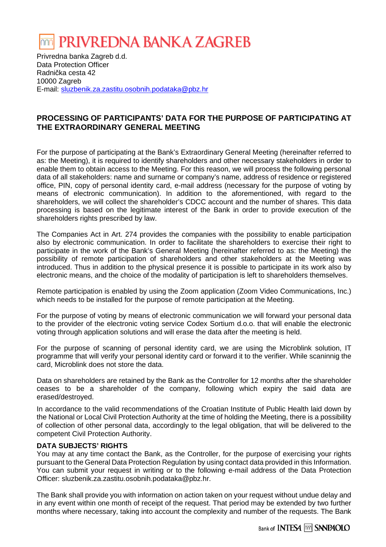# PRIVREDNA BANKA ZAGREB

Privredna banka Zagreb d.d. Data Protection Officer Radnička cesta 42 10000 Zagreb E-mail: sluzbenik.za.zastitu.osobnih.podataka@pbz.hr

# **PROCESSING OF PARTICIPANTS' DATA FOR THE PURPOSE OF PARTICIPATING AT THE EXTRAORDINARY GENERAL MEETING**

For the purpose of participating at the Bank's Extraordinary General Meeting (hereinafter referred to as: the Meeting), it is required to identify shareholders and other necessary stakeholders in order to enable them to obtain access to the Meeting. For this reason, we will process the following personal data of all stakeholders: name and surname or company's name, address of residence or registered office, PIN, copy of personal identity card, e-mail address (necessary for the purpose of voting by means of electronic communication). In addition to the aforementioned, with regard to the shareholders, we will collect the shareholder's CDCC account and the number of shares. This data processing is based on the legitimate interest of the Bank in order to provide execution of the shareholders rights prescribed by law.

The Companies Act in Art. 274 provides the companies with the possibility to enable participation also by electronic communication. In order to facilitate the shareholders to exercise their right to participate in the work of the Bank's General Meeting (hereinafter referred to as: the Meeting) the possibility of remote participation of shareholders and other stakeholders at the Meeting was introduced. Thus in addition to the physical presence it is possible to participate in its work also by electronic means, and the choice of the modality of participation is left to shareholders themselves.

Remote participation is enabled by using the Zoom application (Zoom Video Communications, Inc.) which needs to be installed for the purpose of remote participation at the Meeting.

For the purpose of voting by means of electronic communication we will forward your personal data to the provider of the electronic voting service Codex Sortium d.o.o. that will enable the electronic voting through application solutions and will erase the data after the meeting is held.

For the purpose of scanning of personal identity card, we are using the Microblink solution, IT programme that will verify your personal identity card or forward it to the verifier. While scaninnig the card, Microblink does not store the data.

Data on shareholders are retained by the Bank as the Controller for 12 months after the shareholder ceases to be a shareholder of the company, following which expiry the said data are erased/destroyed.

In accordance to the valid recommendations of the Croatian Institute of Public Health laid down by the National or Local Civil Protection Authority at the time of holding the Meeting, there is a possibility of collection of other personal data, accordingly to the legal obligation, that will be delivered to the competent Civil Protection Authority.

# **DATA SUBJECTS' RIGHTS**

You may at any time contact the Bank, as the Controller, for the purpose of exercising your rights pursuant to the General Data Protection Regulation by using contact data provided in this Information. You can submit your request in writing or to the following e-mail address of the Data Protection Officer: sluzbenik.za.zastitu.osobnih.podataka@pbz.hr.

The Bank shall provide you with information on action taken on your request without undue delay and in any event within one month of receipt of the request. That period may be extended by two further months where necessary, taking into account the complexity and number of the requests. The Bank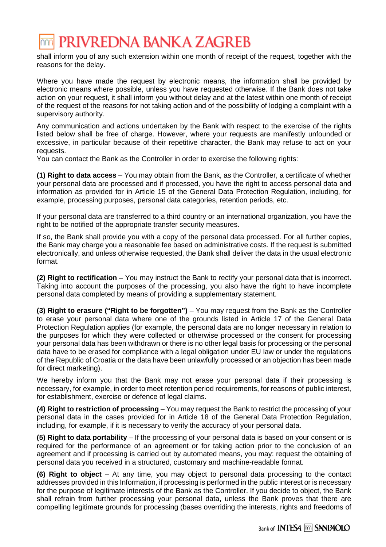# PRIVREDNA BANKA ZAGREB

shall inform you of any such extension within one month of receipt of the request, together with the reasons for the delay.

Where you have made the request by electronic means, the information shall be provided by electronic means where possible, unless you have requested otherwise. If the Bank does not take action on your request, it shall inform you without delay and at the latest within one month of receipt of the request of the reasons for not taking action and of the possibility of lodging a complaint with a supervisory authority.

Any communication and actions undertaken by the Bank with respect to the exercise of the rights listed below shall be free of charge. However, where your requests are manifestly unfounded or excessive, in particular because of their repetitive character, the Bank may refuse to act on your requests.

You can contact the Bank as the Controller in order to exercise the following rights:

**(1) Right to data access** – You may obtain from the Bank, as the Controller, a certificate of whether your personal data are processed and if processed, you have the right to access personal data and information as provided for in Article 15 of the General Data Protection Regulation, including, for example, processing purposes, personal data categories, retention periods, etc.

If your personal data are transferred to a third country or an international organization, you have the right to be notified of the appropriate transfer security measures.

If so, the Bank shall provide you with a copy of the personal data processed. For all further copies, the Bank may charge you a reasonable fee based on administrative costs. If the request is submitted electronically, and unless otherwise requested, the Bank shall deliver the data in the usual electronic format.

**(2) Right to rectification** – You may instruct the Bank to rectify your personal data that is incorrect. Taking into account the purposes of the processing, you also have the right to have incomplete personal data completed by means of providing a supplementary statement.

**(3) Right to erasure ("Right to be forgotten")** – You may request from the Bank as the Controller to erase your personal data where one of the grounds listed in Article 17 of the General Data Protection Regulation applies (for example, the personal data are no longer necessary in relation to the purposes for which they were collected or otherwise processed or the consent for processing your personal data has been withdrawn or there is no other legal basis for processing or the personal data have to be erased for compliance with a legal obligation under EU law or under the regulations of the Republic of Croatia or the data have been unlawfully processed or an objection has been made for direct marketing).

We hereby inform you that the Bank may not erase your personal data if their processing is necessary, for example, in order to meet retention period requirements, for reasons of public interest, for establishment, exercise or defence of legal claims.

**(4) Right to restriction of processing** – You may request the Bank to restrict the processing of your personal data in the cases provided for in Article 18 of the General Data Protection Regulation, including, for example, if it is necessary to verify the accuracy of your personal data.

**(5) Right to data portability** – If the processing of your personal data is based on your consent or is required for the performance of an agreement or for taking action prior to the conclusion of an agreement and if processing is carried out by automated means, you may: request the obtaining of personal data you received in a structured, customary and machine-readable format.

**(6) Right to object** – At any time, you may object to personal data processing to the contact addresses provided in this Information, if processing is performed in the public interest or is necessary for the purpose of legitimate interests of the Bank as the Controller. If you decide to object, the Bank shall refrain from further processing your personal data, unless the Bank proves that there are compelling legitimate grounds for processing (bases overriding the interests, rights and freedoms of